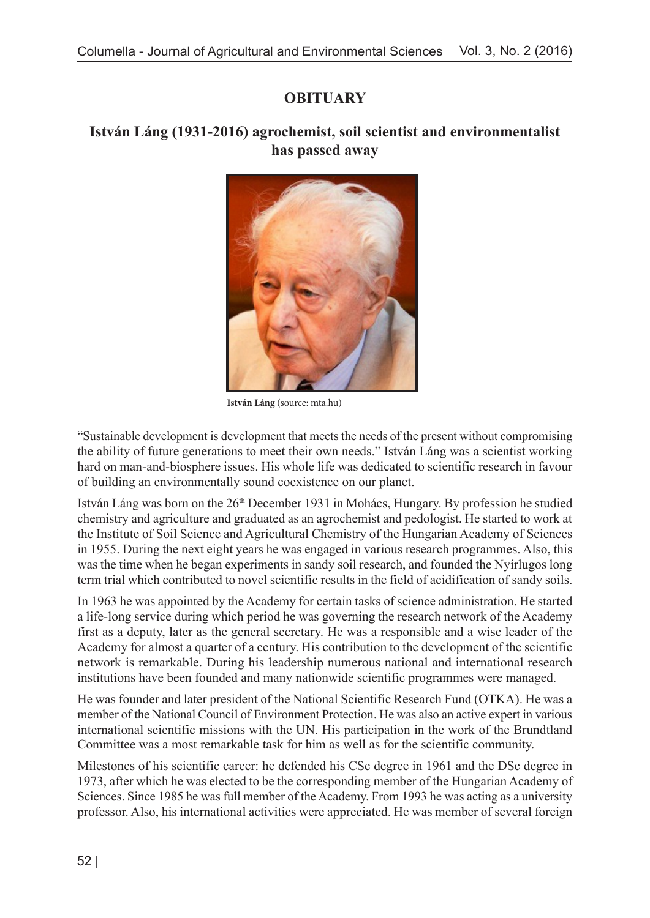## **OBITUARY**

## **István Láng (1931-2016) agrochemist, soil scientist and environmentalist has passed away**



**István Láng** (source: mta.hu)

"Sustainable development is development that meets the needs of the present without compromising the ability of future generations to meet their own needs." István Láng was a scientist working hard on man-and-biosphere issues. His whole life was dedicated to scientific research in favour of building an environmentally sound coexistence on our planet.

István Láng was born on the 26th December 1931 in Mohács, Hungary. By profession he studied chemistry and agriculture and graduated as an agrochemist and pedologist. He started to work at the Institute of Soil Science and Agricultural Chemistry of the Hungarian Academy of Sciences in 1955. During the next eight years he was engaged in various research programmes. Also, this was the time when he began experiments in sandy soil research, and founded the Nyírlugos long term trial which contributed to novel scientific results in the field of acidification of sandy soils.

In 1963 he was appointed by the Academy for certain tasks of science administration. He started a life-long service during which period he was governing the research network of the Academy first as a deputy, later as the general secretary. He was a responsible and a wise leader of the Academy for almost a quarter of a century. His contribution to the development of the scientific network is remarkable. During his leadership numerous national and international research institutions have been founded and many nationwide scientific programmes were managed.

He was founder and later president of the National Scientific Research Fund (OTKA). He was a member of the National Council of Environment Protection. He was also an active expert in various international scientific missions with the UN. His participation in the work of the Brundtland Committee was a most remarkable task for him as well as for the scientific community.

Milestones of his scientific career: he defended his CSc degree in 1961 and the DSc degree in 1973, after which he was elected to be the corresponding member of the Hungarian Academy of Sciences. Since 1985 he was full member of the Academy. From 1993 he was acting as a university professor. Also, his international activities were appreciated. He was member of several foreign